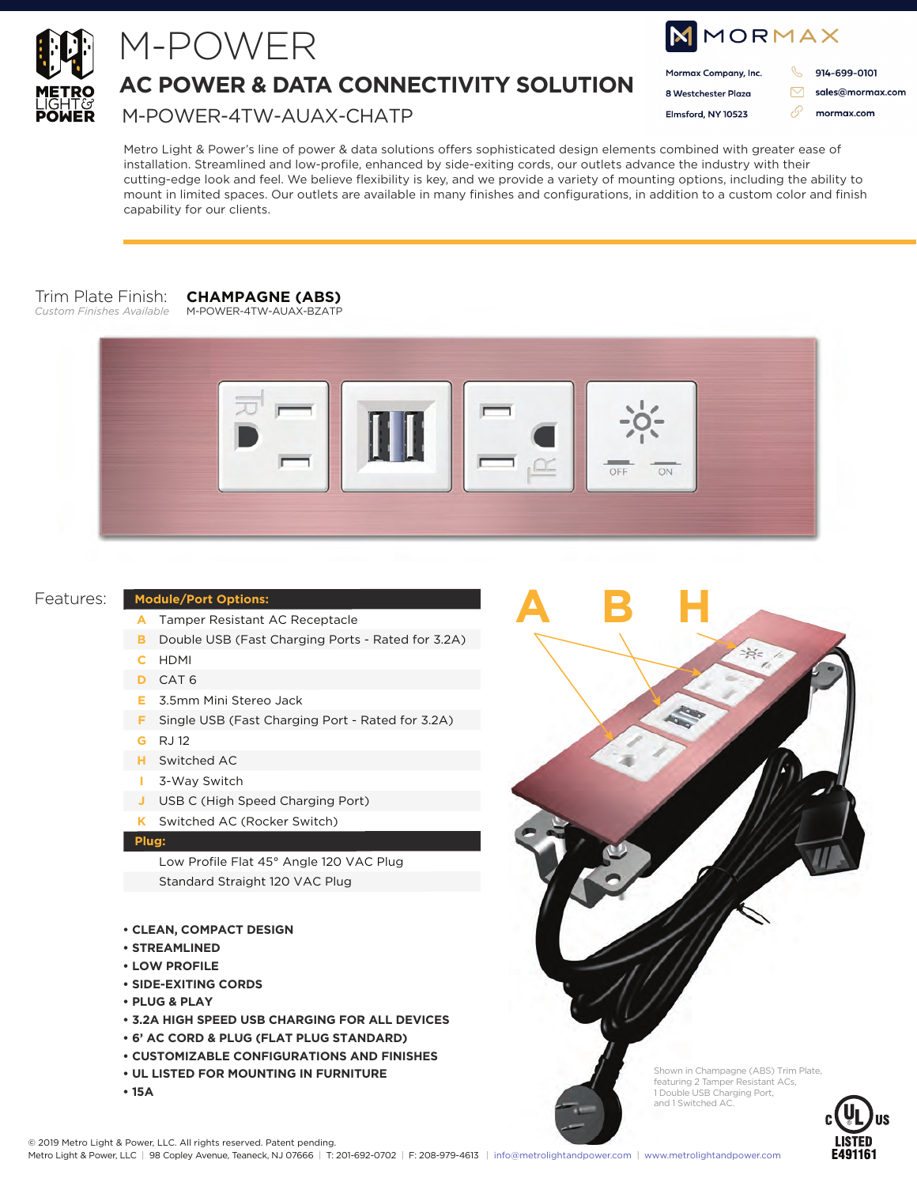

## M-POWER

**AC POWER & DATA CONNECTIVITY SOLUTION**

M-POWER-4TW-AUAX-CHATP

| <b>NMORMAX</b> |                      |  |                  |
|----------------|----------------------|--|------------------|
|                | Mormax Company, Inc. |  | 914-699-0101     |
|                | 8 Westchester Plaza  |  | sales@mormax.com |
|                | Elmsford, NY 10523   |  | mormax.com       |
|                |                      |  |                  |

Metro Light & Power's line of power & data solutions offers sophisticated design elements combined with greater ease of installation. Streamlined and low-profile, enhanced by side-exiting cords, our outlets advance the industry with their cutting-edge look and feel. We believe flexibility is key, and we provide a variety of mounting options, including the ability to mount in limited spaces. Our outlets are available in many finishes and configurations, in addition to a custom color and finish capability for our clients.

#### Trim Plate Finish: *Custom Finishes Available*

**CHAMPAGNE (ABS)** M-POWER-4TW-AUAX-BZATP



**ABH**

#### Features:

#### **Module/Port Options:**

- Tamper Resistant AC Receptacle **A**
- **B** Double USB (Fast Charging Ports Rated for 3.2A)
- HDMI **C**
- CAT 6 **D**
- 3.5mm Mini Stereo Jack **E**
- **F** Single USB (Fast Charging Port Rated for 3.2A)
- RJ 12 **G**
- Switched AC **H**
- 3-Way Switch **I**
- USB C (High Speed Charging Port) **J**
- Switched AC (Rocker Switch) **K**

#### **Plug:**

Low Profile Flat 45° Angle 120 VAC Plug Standard Straight 120 VAC Plug

- **CLEAN, COMPACT DESIGN**
- **STREAMLINED**
- **LOW PROFILE**
- **SIDE-EXITING CORDS**
- **PLUG & PLAY**
- **3.2A HIGH SPEED USB CHARGING FOR ALL DEVICES**
- **6' AC CORD & PLUG (FLAT PLUG STANDARD)**
- **CUSTOMIZABLE CONFIGURATIONS AND FINISHES**
- **UL LISTED FOR MOUNTING IN FURNITURE**
- **15A**

Shown in Champagne (ABS) Trim Plate, featuring 2 Tamper Resistant ACs, 1 Double USB Charging Port, and 1 Switched AC.